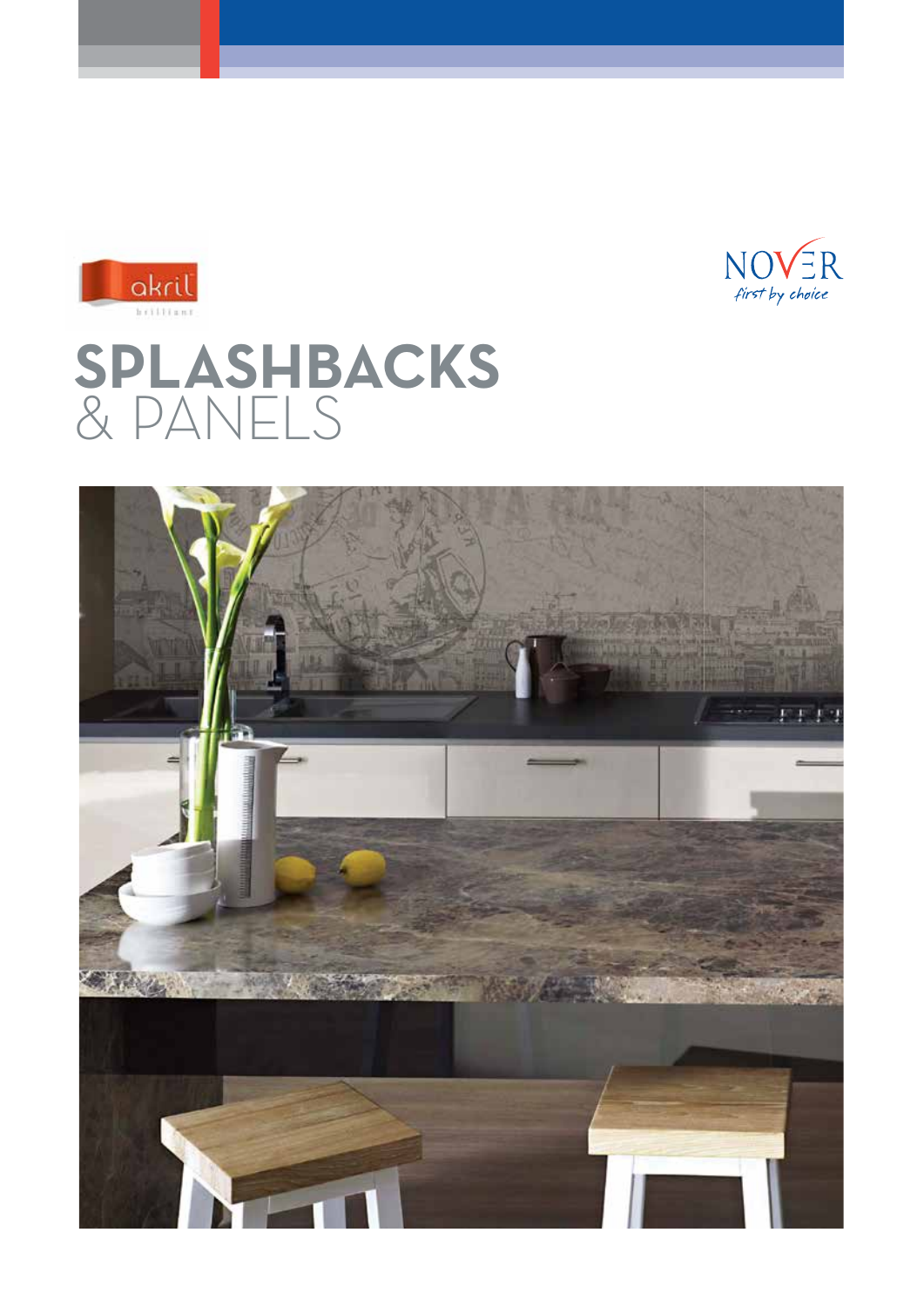



# **SPLASHBACKS** & PANELS

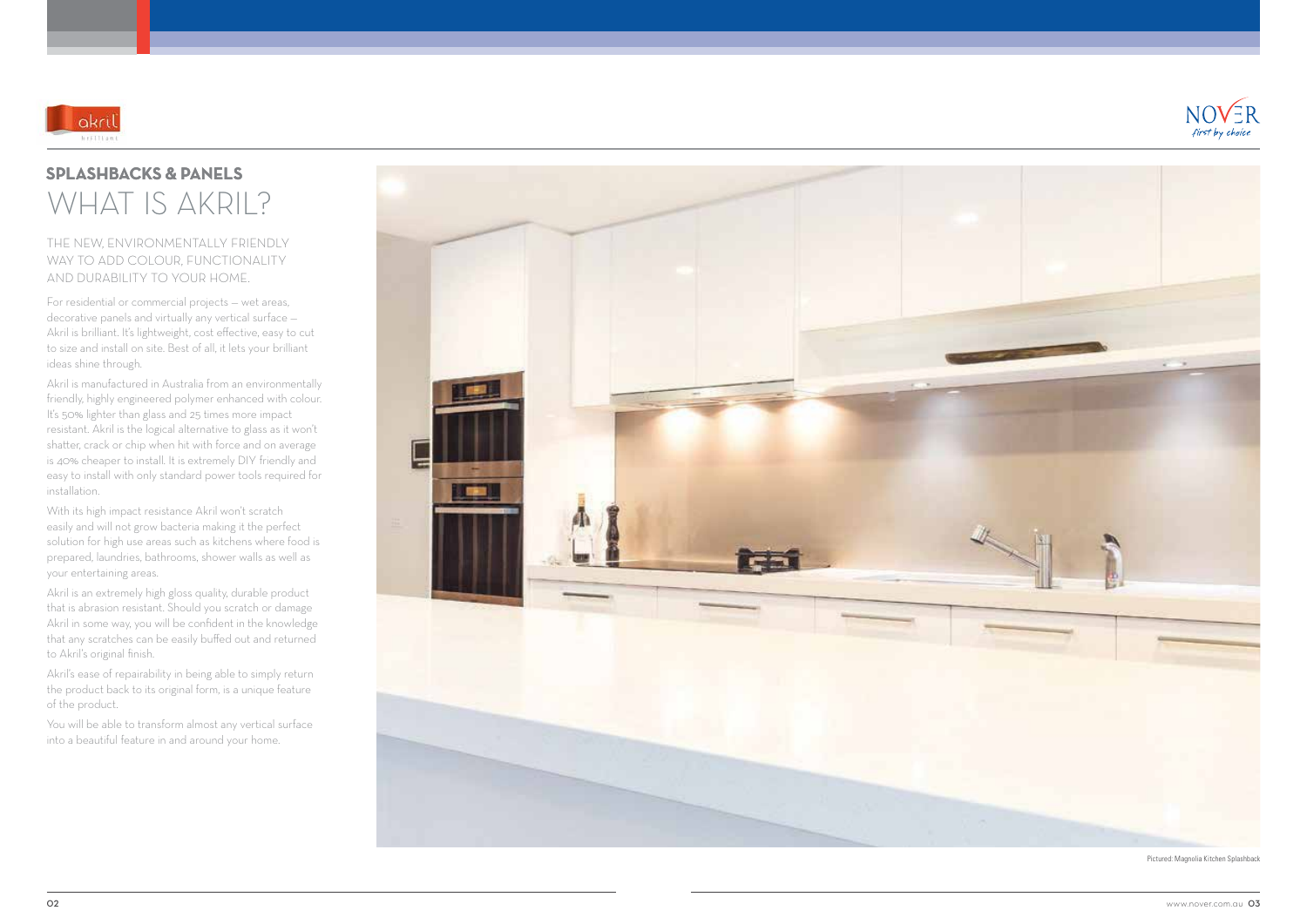## THE NEW, ENVIRONMENTALLY FRIENDLY WAY TO ADD COLOUR, FUNCTIONALITY AND DURABILITY TO YOUR HOME.

For residential or commercial projects — wet areas, decorative panels and virtually any vertical surface — Akril is brilliant. It's lightweight, cost effective, easy to cut to size and install on site. Best of all, it lets your brilliant ideas shine through.

Akril is manufactured in Australia from an environmentally friendly, highly engineered polymer enhanced with colour. It's 50% lighter than glass and 25 times more impact resistant. Akril is the logical alternative to glass as it won't shatter, crack or chip when hit with force and on average is 40% cheaper to install. It is extremely DIY friendly and easy to install with only standard power tools required for installation.

Akril's ease of repairability in being able to simply return the product back to its original form, is a unique feature of the product.

You will be able to transform almost any vertical surface into a beautiful feature in and around your home.







## WHAT IS AKRIL? **SPLASHBACKS & PANELS**

With its high impact resistance Akril won't scratch easily and will not grow bacteria making it the perfect solution for high use areas such as kitchens where food is prepared, laundries, bathrooms, shower walls as well as your entertaining areas.

Akril is an extremely high gloss quality, durable product that is abrasion resistant. Should you scratch or damage Akril in some way, you will be confident in the knowledge that any scratches can be easily buffed out and returned to Akril's original finish.

Pictured: Magnolia Kitchen Splashback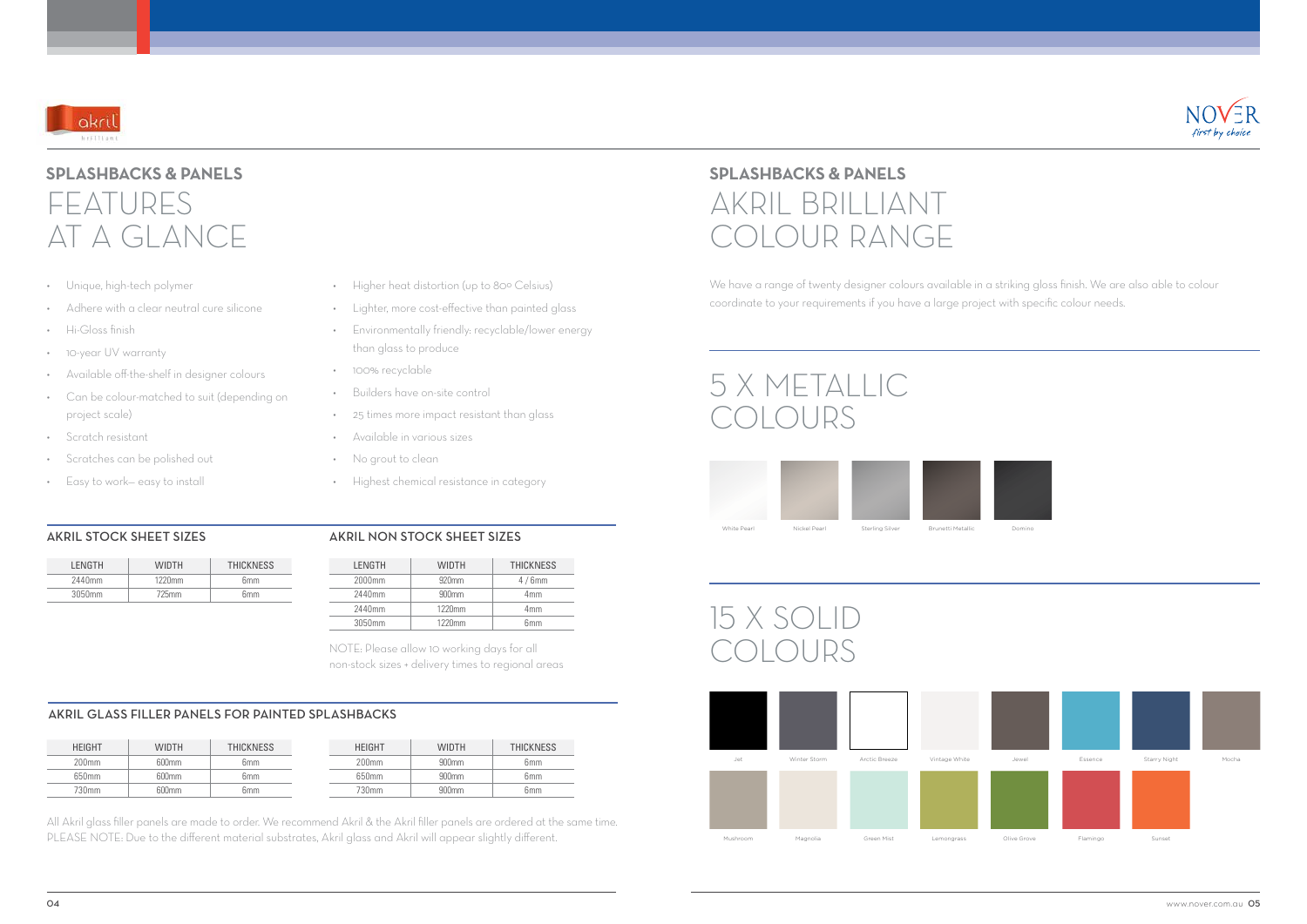

## FEATURES AT A GLANCE **SPLASHBACKS & PANELS**

# 5 X METALLIC **COLOURS**

We have a range of twenty designer colours available in a striking gloss finish. We are also able to colour coordinate to your requirements if you have a large project with specific colour needs.

## AKRIL BRILLIANT COLOUR RANGE **SPLASHBACKS & PANELS**





# 15 X SOLID COLOURS

- Unique, high-tech polymer
- Adhere with a clear neutral cure silicone
- Hi-Gloss finish
- 10-year UV warranty
- Available off-the-shelf in designer colours
- Can be colour-matched to suit (depending on project scale)
- Scratch resistant
- Scratches can be polished out
- Easy to work— easy to install
- Higher heat distortion (up to 80º Celsius)
- Lighter, more cost-effective than painted glass
- Environmentally friendly: recyclable/lower energy than glass to produce
- 100% recyclable
- Builders have on-site control
- 25 times more impact resistant than glass
- Available in various sizes
- No grout to clean
- Highest chemical resistance in category

All Akril glass filler panels are made to order. We recommend Akril & the Akril filler panels are ordered at the same time. PLEASE NOTE: Due to the different material substrates, Akril glass and Akril will appear slightly different.





## AKRIL GLASS FILLER PANELS FOR PAINTED SPLASHBACKS

| <b>LENGTH</b> | <b>WIDTH</b> | <b>THICKNESS</b> |  |
|---------------|--------------|------------------|--|
| 2440mm        | $1220$ mm    | 6mm              |  |
| 3050mm        | 725mm        | 6mm              |  |

## AKRIL STOCK SHEET SIZES AKRIL NON STOCK SHEET SIZES

| <b>HEIGHT</b> | <b>WIDTH</b>      | <b>THICKNESS</b> | <b>HEIGHT</b> | <b>WIDTH</b>      | <b>THICKNESS</b> |
|---------------|-------------------|------------------|---------------|-------------------|------------------|
| 200mm         | 600mm             | 6mm              | 200mm         | 900 <sub>mm</sub> | 6 <sub>mm</sub>  |
| 650mm         | 600mm             | 6 <sub>mm</sub>  | 650mm         | 900 <sub>mm</sub> | 6 <sub>mm</sub>  |
| 730mm         | 600 <sub>mm</sub> | 6mm              | 730mm         | 900mm             | 6mm              |

| LENGTH | WIDTH             | <b>THICKNESS</b> |  |
|--------|-------------------|------------------|--|
| 2000mm | 920 <sub>mm</sub> | $4/6$ mm         |  |
| 2440mm | $900$ mm          | 4mm              |  |
| 2440mm | 1220mm            | 4mm              |  |
| 3050mm | 1220mm            | 6mm              |  |

NOTE: Please allow 10 working days for all non-stock sizes + delivery times to regional areas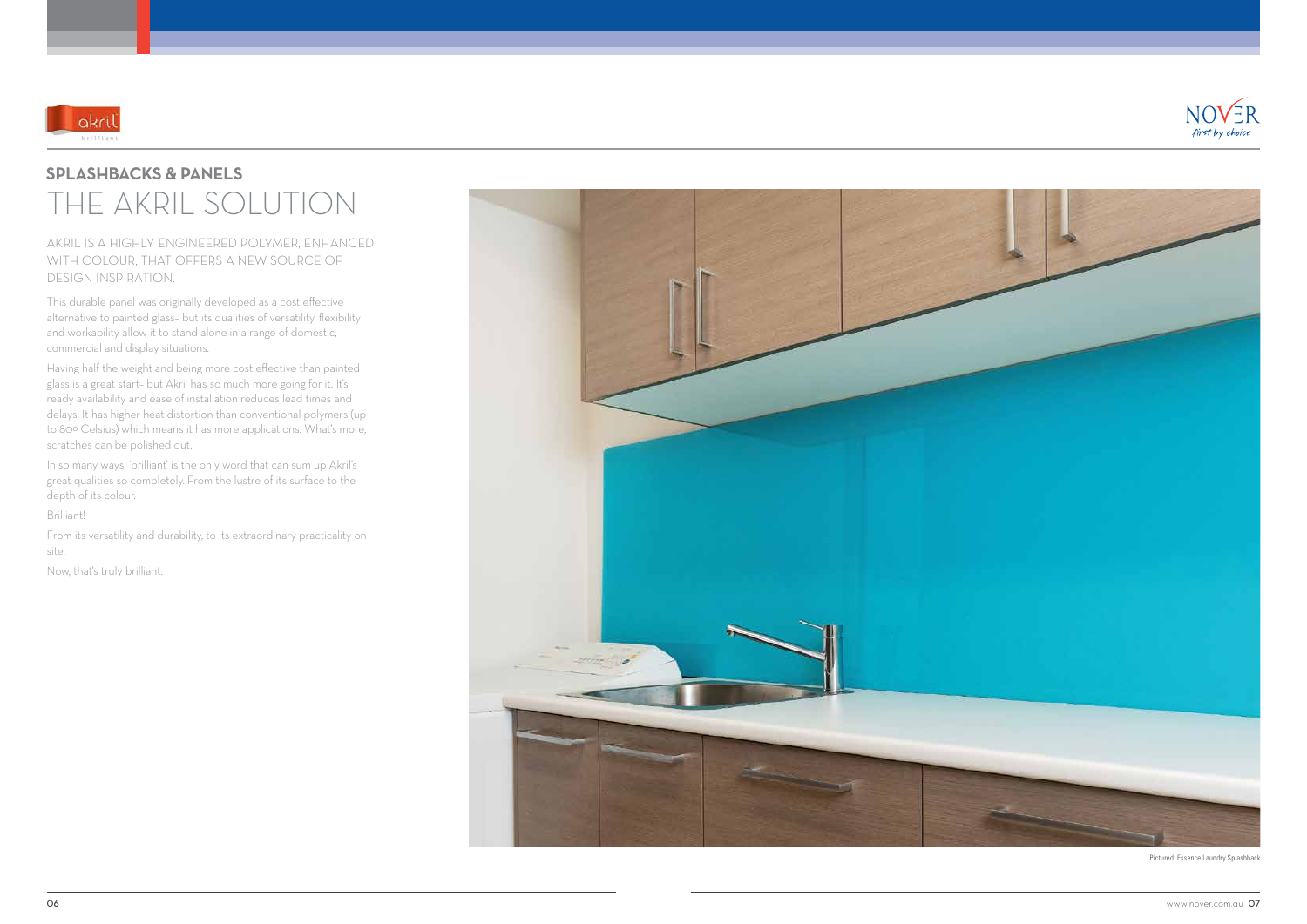AKRIL IS A HIGHLY ENGINEERED POLYMER, ENHANCED WITH COLOUR, THAT OFFERS A NEW SOURCE OF DESIGN INSPIRATION.

This durable panel was originally developed as a cost effective alternative to painted glass– but its qualities of versatility, flexibility and workability allow it to stand alone in a range of domestic, commercial and display situations.

In so many ways, 'brilliant' is the only word that can sum up Akril's great qualities so completely. From the lustre of its surface to the depth of its colour.



## THE AKRIL SOLUTION **SPLASHBACKS & PANELS**

Having half the weight and being more cost effective than painted glass is a great start– but Akril has so much more going for it. It's ready availability and ease of installation reduces lead times and delays. It has higher heat distortion than conventional polymers (up to 80º Celsius) which means it has more applications. What's more, scratches can be polished out.

Brilliant!

From its versatility and durability, to its extraordinary practicality on site.

Now, that's truly brilliant.





Pictured: Essence Laundry Splashback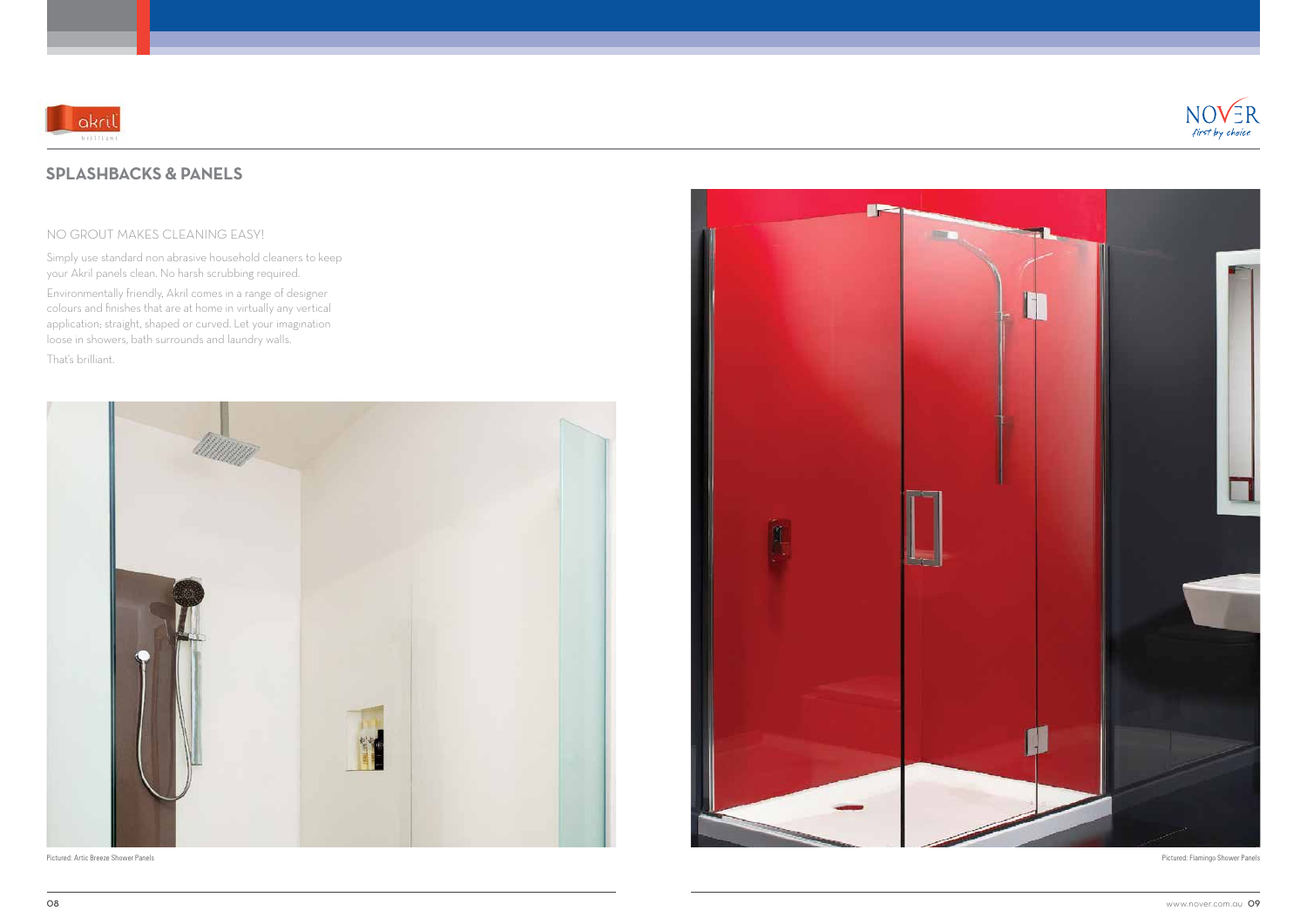### NO GROUT MAKES CLEANING EASY!

Simply use standard non abrasive household cleaners to keep your Akril panels clean. No harsh scrubbing required.

Environmentally friendly, Akril comes in a range of designer colours and finishes that are at home in virtually any vertical application; straight, shaped or curved. Let your imagination loose in showers, bath surrounds and laundry walls.

That's brilliant.





## **SPLASHBACKS & PANELS**



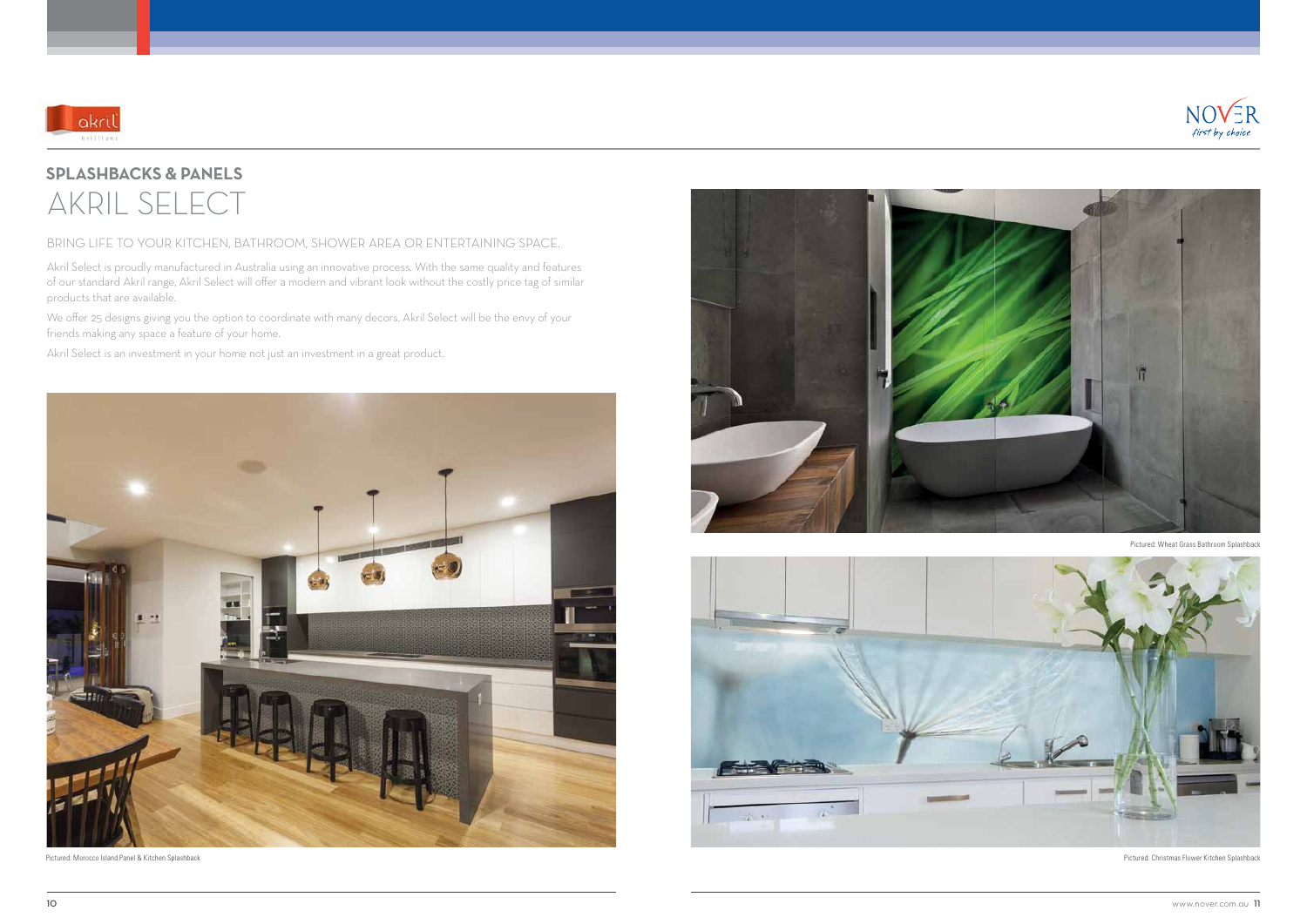## BRING LIFE TO YOUR KITCHEN, BATHROOM, SHOWER AREA OR ENTERTAINING SPACE.

Akril Select is proudly manufactured in Australia using an innovative process. With the same quality and features of our standard Akril range, Akril Select will offer a modern and vibrant look without the costly price tag of similar products that are available.



## AKRIL SELECT **SPLASHBACKS & PANELS**

We offer 25 designs giving you the option to coordinate with many decors. Akril Select will be the envy of your friends making any space a feature of your home.

Akril Select is an investment in your home not just an investment in a great product.

Pictured: Christmas Flower Kitchen Splashback

Pictured: Wheat Grass Bathroom Splashback



Pictured: Morocco Island Panel & Kitchen Splashback





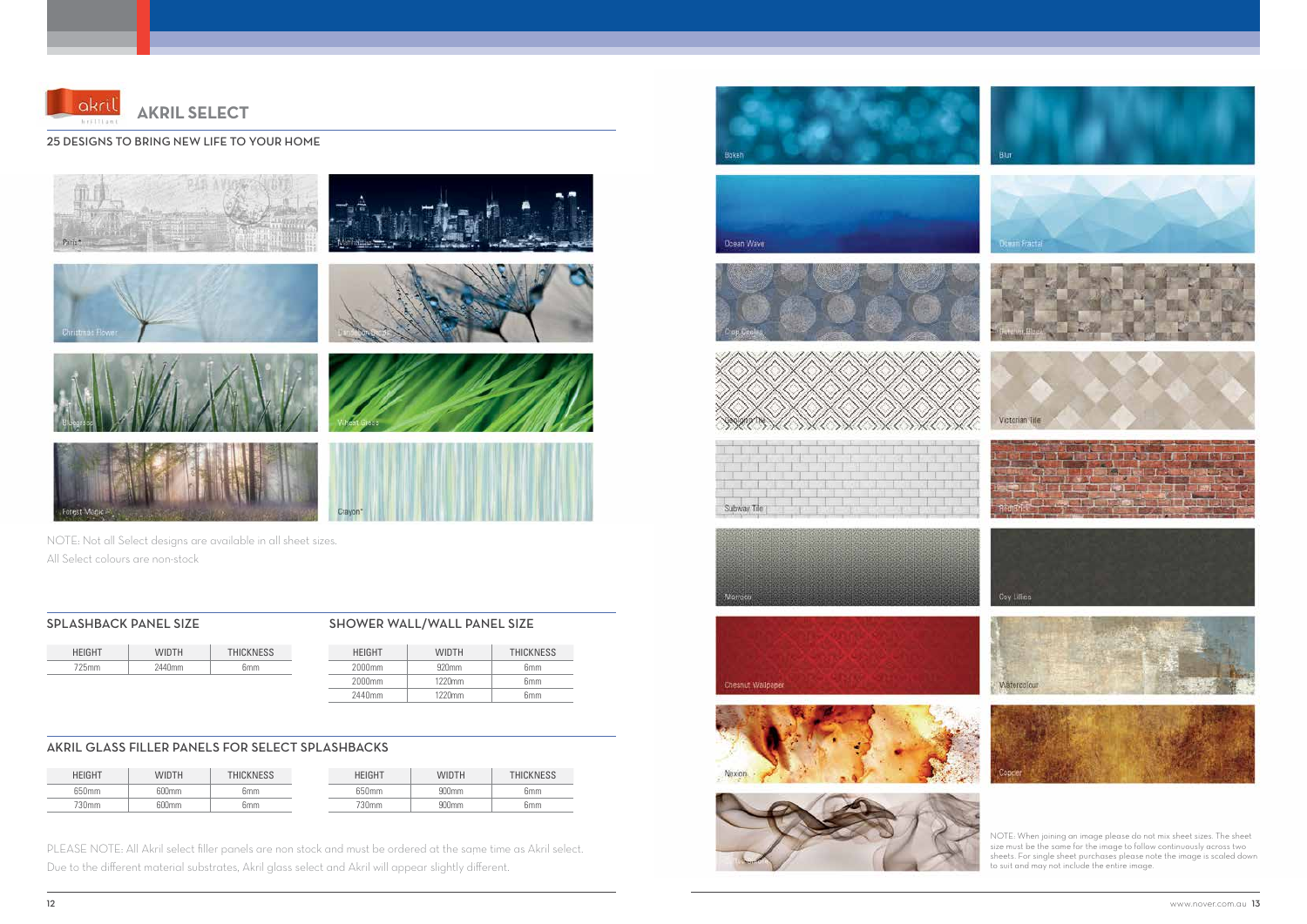#### 25 DESIGNS TO BRING NEW LIFE TO YOUR HOME





## **AKRIL SELECT**

NOTE: Not all Select designs are available in all sheet sizes. All Select colours are non-stock

PLEASE NOTE: All Akril select filler panels are non stock and must be ordered at the same time as Akril select. Due to the different material substrates, Akril glass select and Akril will appear slightly different.



















NOTE: When joining an image please do not mix sheet sizes. The sheet size must be the same for the image to follow continuously across two sheets. For single sheet purchases please note the image is scaled down to suit and may not include the entire image.

|      | TН           | <b>THICKNESS</b> |
|------|--------------|------------------|
| 25mm | 2440<br>.)mm | ິ 5mm            |

### SPLASHBACK PANEL SIZE SHOWER WALL/WALL PANEL SIZE

| <b>HEIGHT</b> | WIDTH        | THICKNESS | HEIGHT   | WIDTH | <b>HICKNESS</b> |
|---------------|--------------|-----------|----------|-------|-----------------|
| 650mm         | <b>500mm</b> | 6mm       | 50mm     | 900mm | 6 <sub>mm</sub> |
| 730mm         | 500mm        | 6mm       | $730$ mm | 900mm | 6 <sub>mm</sub> |

| <b>HFIGHT</b> | <b>WIDTH</b>      | <b>THICKNESS</b> |  |
|---------------|-------------------|------------------|--|
| 2000mm        | 920 <sub>mm</sub> | 6 <sub>mm</sub>  |  |
| 2000mm        | $1220$ mm         | 6 <sub>mm</sub>  |  |
| 2440mm        | $1220$ mm         | 6 <sub>mm</sub>  |  |

## AKRIL GLASS FILLER PANELS FOR SELECT SPLASHBACKS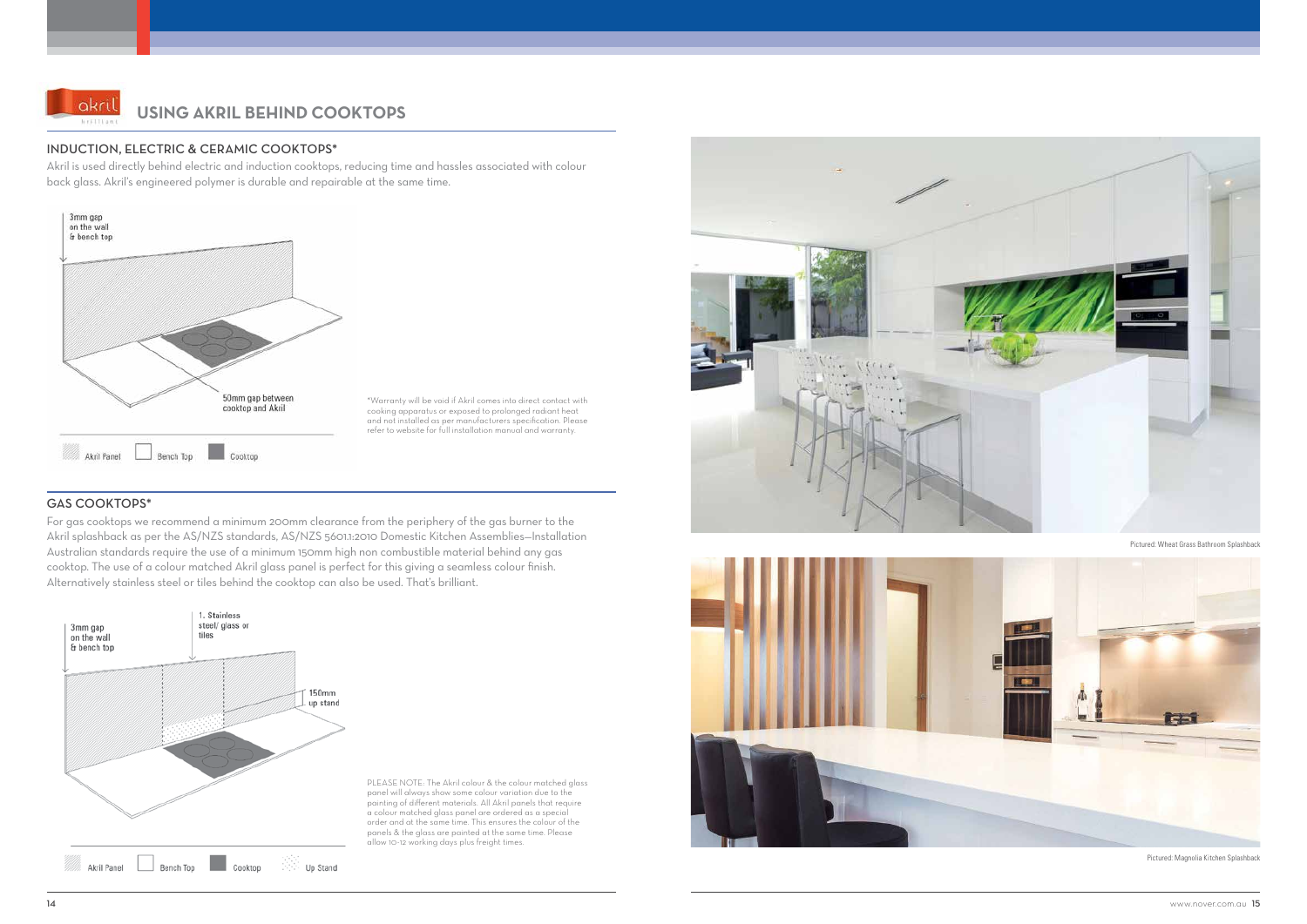### INDUCTION, ELECTRIC & CERAMIC COOKTOPS\*

Akril is used directly behind electric and induction cooktops, reducing time and hassles associated with colour back glass. Akril's engineered polymer is durable and repairable at the same time.



## GAS COOKTOPS\*

For gas cooktops we recommend a minimum 200mm clearance from the periphery of the gas burner to the Akril splashback as per the AS/NZS standards, AS/NZS 5601.1:2010 Domestic Kitchen Assemblies—Installation Australian standards require the use of a minimum 150mm high non combustible material behind any gas cooktop. The use of a colour matched Akril glass panel is perfect for this giving a seamless colour finish. Alternatively stainless steel or tiles behind the cooktop can also be used. That's brilliant.





## **USING AKRIL BEHIND COOKTOPS**

\*Warranty will be void if Akril comes into direct contact with cooking apparatus or exposed to prolonged radiant heat and not installed as per manufacturers specification. Please refer to website for full installation manual and warranty.

PLEASE NOTE: The Akril colour & the colour matched glass panel will always show some colour variation due to the painting of different materials. All Akril panels that require a colour matched glass panel are ordered as a special order and at the same time. This ensures the colour of the panels & the glass are painted at the same time. Please allow 10-12 working days plus freight times.





Pictured: Wheat Grass Bathroom Splashback

Pictured: Magnolia Kitchen Splashback